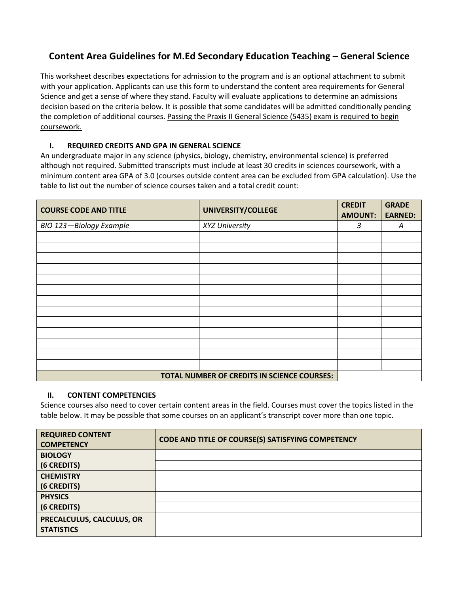## **Content Area Guidelines for M.Ed Secondary Education Teaching – General Science**

This worksheet describes expectations for admission to the program and is an optional attachment to submit with your application. Applicants can use this form to understand the content area requirements for General Science and get a sense of where they stand. Faculty will evaluate applications to determine an admissions decision based on the criteria below. It is possible that some candidates will be admitted conditionally pending the completion of additional courses. Passing the Praxis II General Science (5435) exam is required to begin coursework.

## **I. REQUIRED CREDITS AND GPA IN GENERAL SCIENCE**

An undergraduate major in any science (physics, biology, chemistry, environmental science) is preferred although not required. Submitted transcripts must include at least 30 credits in sciences coursework, with a minimum content area GPA of 3.0 (courses outside content area can be excluded from GPA calculation). Use the table to list out the number of science courses taken and a total credit count:

| <b>COURSE CODE AND TITLE</b> | UNIVERSITY/COLLEGE                          | <b>CREDIT</b><br><b>AMOUNT:</b> | <b>GRADE</b><br><b>EARNED:</b> |
|------------------------------|---------------------------------------------|---------------------------------|--------------------------------|
| BIO 123-Biology Example      | XYZ University                              | 3                               | Α                              |
|                              |                                             |                                 |                                |
|                              |                                             |                                 |                                |
|                              |                                             |                                 |                                |
|                              |                                             |                                 |                                |
|                              |                                             |                                 |                                |
|                              |                                             |                                 |                                |
|                              |                                             |                                 |                                |
|                              |                                             |                                 |                                |
|                              |                                             |                                 |                                |
|                              |                                             |                                 |                                |
|                              |                                             |                                 |                                |
|                              |                                             |                                 |                                |
|                              |                                             |                                 |                                |
|                              | TOTAL NUMBER OF CREDITS IN SCIENCE COURSES: |                                 |                                |

## **II. CONTENT COMPETENCIES**

Science courses also need to cover certain content areas in the field. Courses must cover the topics listed in the table below. It may be possible that some courses on an applicant's transcript cover more than one topic.

| <b>REQUIRED CONTENT</b><br><b>COMPETENCY</b>   | <b>CODE AND TITLE OF COURSE(S) SATISFYING COMPETENCY</b> |
|------------------------------------------------|----------------------------------------------------------|
| <b>BIOLOGY</b>                                 |                                                          |
| (6 CREDITS)                                    |                                                          |
| <b>CHEMISTRY</b>                               |                                                          |
| (6 CREDITS)                                    |                                                          |
| <b>PHYSICS</b>                                 |                                                          |
| (6 CREDITS)                                    |                                                          |
| PRECALCULUS, CALCULUS, OR<br><b>STATISTICS</b> |                                                          |